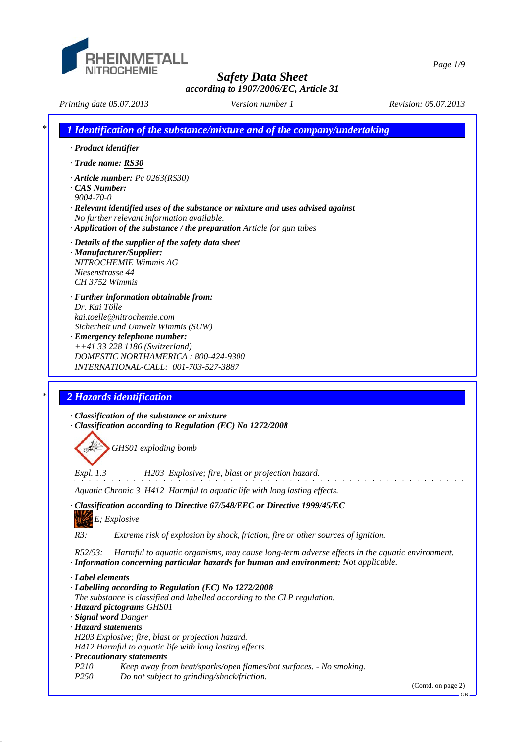

*Safety Data Sheet*

*according to 1907/2006/EC, Article 31*

*Printing date 05.07.2013 Revision: 05.07.2013 Version number 1*

|                          | 1 Identification of the substance/mixture and of the company/undertaking                                                                                                                |
|--------------------------|-----------------------------------------------------------------------------------------------------------------------------------------------------------------------------------------|
|                          | · Product identifier                                                                                                                                                                    |
|                          | · Trade name: RS30                                                                                                                                                                      |
|                          | $\cdot$ Article number: Pc 0263(RS30)                                                                                                                                                   |
| CAS Number:<br>9004-70-0 |                                                                                                                                                                                         |
|                          | $\cdot$ Relevant identified uses of the substance or mixture and uses advised against                                                                                                   |
|                          | No further relevant information available.                                                                                                                                              |
|                          | $\cdot$ Application of the substance / the preparation Article for gun tubes                                                                                                            |
|                          | · Details of the supplier of the safety data sheet                                                                                                                                      |
|                          | · Manufacturer/Supplier:<br>NITROCHEMIE Wimmis AG                                                                                                                                       |
|                          | Niesenstrasse 44                                                                                                                                                                        |
|                          | CH 3752 Wimmis                                                                                                                                                                          |
|                          | · Further information obtainable from:                                                                                                                                                  |
| Dr. Kai Tölle            |                                                                                                                                                                                         |
|                          | kai.toelle@nitrochemie.com<br>Sicherheit und Umwelt Wimmis (SUW)                                                                                                                        |
|                          | · Emergency telephone number:                                                                                                                                                           |
|                          | $++41$ 33 228 1186 (Switzerland)                                                                                                                                                        |
|                          | DOMESTIC NORTHAMERICA: 800-424-9300<br>INTERNATIONAL-CALL: 001-703-527-3887                                                                                                             |
|                          |                                                                                                                                                                                         |
|                          | 2 Hazards identification<br>· Classification of the substance or mixture<br>· Classification according to Regulation (EC) No 1272/2008                                                  |
|                          | GHS01 exploding bomb                                                                                                                                                                    |
| <i>Expl.</i> 1.3         | H203 Explosive; fire, blast or projection hazard.                                                                                                                                       |
|                          | Aquatic Chronic 3 H412 Harmful to aquatic life with long lasting effects.                                                                                                               |
|                          | Classification according to Directive 67/548/EEC or Directive 1999/45/EC                                                                                                                |
|                          |                                                                                                                                                                                         |
| R3:                      | E; Explosive<br>Extreme risk of explosion by shock, friction, fire or other sources of ignition.                                                                                        |
|                          |                                                                                                                                                                                         |
| $R52/53$ :               | Harmful to aquatic organisms, may cause long-term adverse effects in the aquatic environment.<br>· Information concerning particular hazards for human and environment: Not applicable. |
| · Label elements         |                                                                                                                                                                                         |
|                          | · Labelling according to Regulation (EC) No 1272/2008                                                                                                                                   |
|                          | The substance is classified and labelled according to the CLP regulation.                                                                                                               |
|                          | · Hazard pictograms GHS01                                                                                                                                                               |
|                          | · Signal word Danger                                                                                                                                                                    |
|                          | · Hazard statements<br>H203 Explosive; fire, blast or projection hazard.                                                                                                                |
|                          | H412 Harmful to aquatic life with long lasting effects.                                                                                                                                 |
|                          | · Precautionary statements                                                                                                                                                              |
| P210<br>P <sub>250</sub> | Keep away from heat/sparks/open flames/hot surfaces. - No smoking.<br>Do not subject to grinding/shock/friction.                                                                        |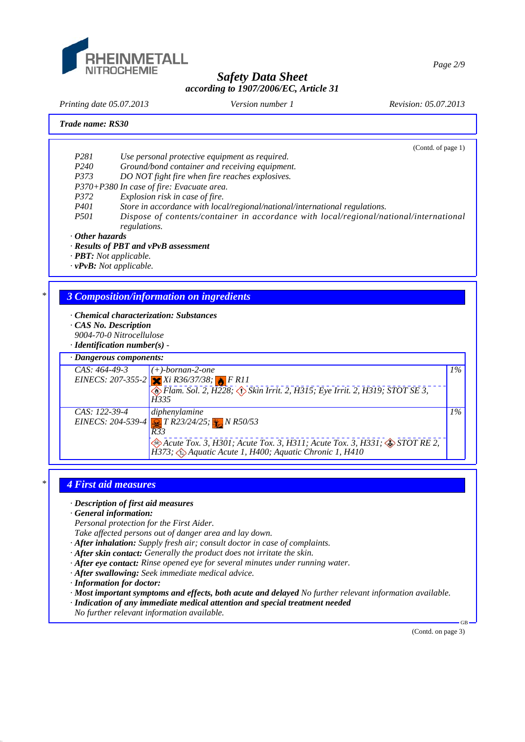

*Printing date 05.07.2013 Revision: 05.07.2013 Version number 1*

#### *Trade name: RS30*

(Contd. of page 1)

- *P281 Use personal protective equipment as required.*
- *P240 Ground/bond container and receiving equipment.*
- *P373 DO NOT fight fire when fire reaches explosives.*
- *P370+P380 In case of fire: Evacuate area.*
- *P372 Explosion risk in case of fire.*
- *P401 Store in accordance with local/regional/national/international regulations.*
- *P501 Dispose of contents/container in accordance with local/regional/national/international regulations.*
- *· Other hazards*
- *· Results of PBT and vPvB assessment*
- *· PBT: Not applicable.*
- *· vPvB: Not applicable.*

## *\* 3 Composition/information on ingredients*

- *· Chemical characterization: Substances*
- *· CAS No. Description*
- *9004-70-0 Nitrocellulose*
- *· Identification number(s)*



## *\* 4 First aid measures*

*· Description of first aid measures*

- *· General information:*
- *Personal protection for the First Aider.*

*Take affected persons out of danger area and lay down.*

- *· After inhalation: Supply fresh air; consult doctor in case of complaints.*
- *· After skin contact: Generally the product does not irritate the skin.*
- *· After eye contact: Rinse opened eye for several minutes under running water.*
- *· After swallowing: Seek immediate medical advice.*
- *· Information for doctor:*
- *· Most important symptoms and effects, both acute and delayed No further relevant information available.*
- *· Indication of any immediate medical attention and special treatment needed*
- *No further relevant information available.*

(Contd. on page 3)

GB

*Page 2/9*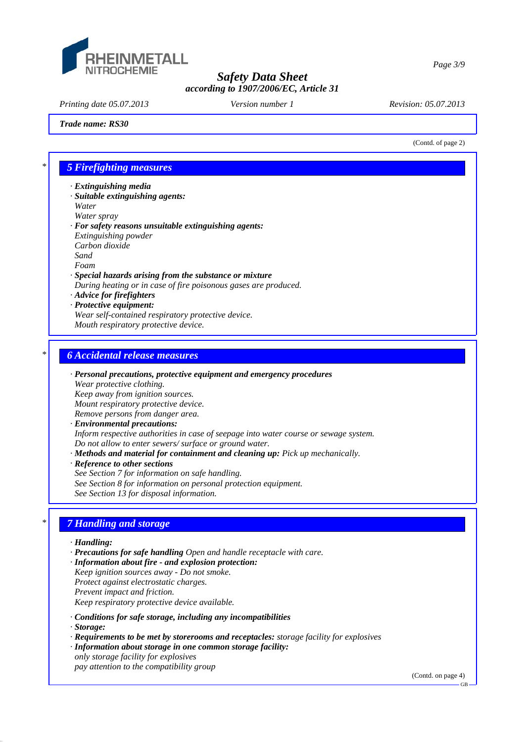

*Printing date 05.07.2013 Revision: 05.07.2013 Version number 1*

#### *Trade name: RS30*

(Contd. of page 2)

*Page 3/9*

## *\* 5 Firefighting measures*

- *· Extinguishing media*
- *· Suitable extinguishing agents: Water*
- *Water spray*
- *· For safety reasons unsuitable extinguishing agents: Extinguishing powder Carbon dioxide Sand Foam · Special hazards arising from the substance or mixture*
- *During heating or in case of fire poisonous gases are produced.*
- *· Advice for firefighters*
- *· Protective equipment:*
- *Wear self-contained respiratory protective device. Mouth respiratory protective device.*

# *\* 6 Accidental release measures*

- *· Personal precautions, protective equipment and emergency procedures Wear protective clothing. Keep away from ignition sources. Mount respiratory protective device. Remove persons from danger area. · Environmental precautions: Inform respective authorities in case of seepage into water course or sewage system. Do not allow to enter sewers/ surface or ground water.*
- *· Methods and material for containment and cleaning up: Pick up mechanically.*
- *· Reference to other sections*
- *See Section 7 for information on safe handling.*
- *See Section 8 for information on personal protection equipment.*
- *See Section 13 for disposal information.*

# *\* 7 Handling and storage*

- *· Handling:*
- *· Precautions for safe handling Open and handle receptacle with care.*
- *· Information about fire and explosion protection: Keep ignition sources away - Do not smoke. Protect against electrostatic charges. Prevent impact and friction. Keep respiratory protective device available.*
- 
- *· Conditions for safe storage, including any incompatibilities*
- *· Storage:*
- *· Requirements to be met by storerooms and receptacles: storage facility for explosives*
- *· Information about storage in one common storage facility:*
- *only storage facility for explosives pay attention to the compatibility group*

(Contd. on page 4)

GB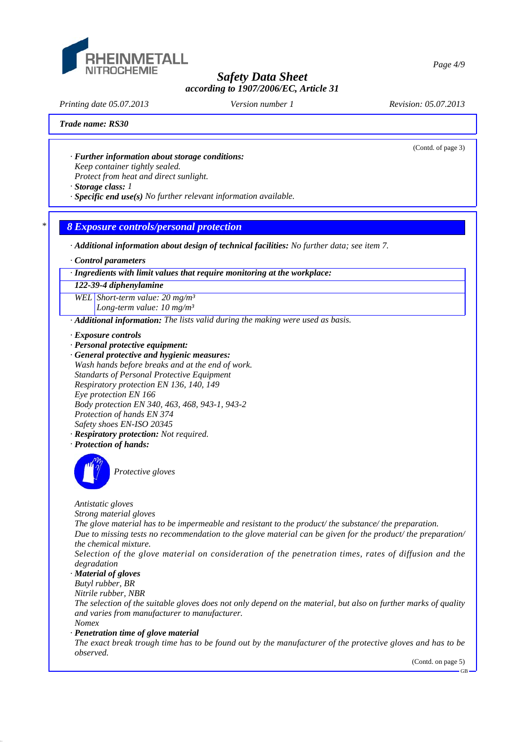

*Printing date 05.07.2013 Revision: 05.07.2013 Version number 1*

(Contd. of page 3)

## *Trade name: RS30*

- *· Further information about storage conditions: Keep container tightly sealed.*
- *Protect from heat and direct sunlight.*
- *· Storage class: 1*
- *· Specific end use(s) No further relevant information available.*

# *\* 8 Exposure controls/personal protection*

*· Additional information about design of technical facilities: No further data; see item 7.*

*· Control parameters*

*· Ingredients with limit values that require monitoring at the workplace:*

#### *122-39-4 diphenylamine*

*WEL Short-term value: 20 mg/m³ Long-term value: 10 mg/m³*

*· Additional information: The lists valid during the making were used as basis.*

- *· Exposure controls*
- *· Personal protective equipment:*
- *· General protective and hygienic measures: Wash hands before breaks and at the end of work. Standarts of Personal Protective Equipment Respiratory protection EN 136, 140, 149 Eye protection EN 166 Body protection EN 340, 463, 468, 943-1, 943-2 Protection of hands EN 374 Safety shoes EN-ISO 20345 · Respiratory protection: Not required.*
- *· Protection of hands:*



*Protective gloves*

*Antistatic gloves*

*Strong material gloves*

*The glove material has to be impermeable and resistant to the product/ the substance/ the preparation. Due to missing tests no recommendation to the glove material can be given for the product/ the preparation/ the chemical mixture.*

*Selection of the glove material on consideration of the penetration times, rates of diffusion and the degradation*

*· Material of gloves*

*Butyl rubber, BR*

*Nitrile rubber, NBR*

*The selection of the suitable gloves does not only depend on the material, but also on further marks of quality and varies from manufacturer to manufacturer. Nomex*

*· Penetration time of glove material*

*The exact break trough time has to be found out by the manufacturer of the protective gloves and has to be observed.*

(Contd. on page 5)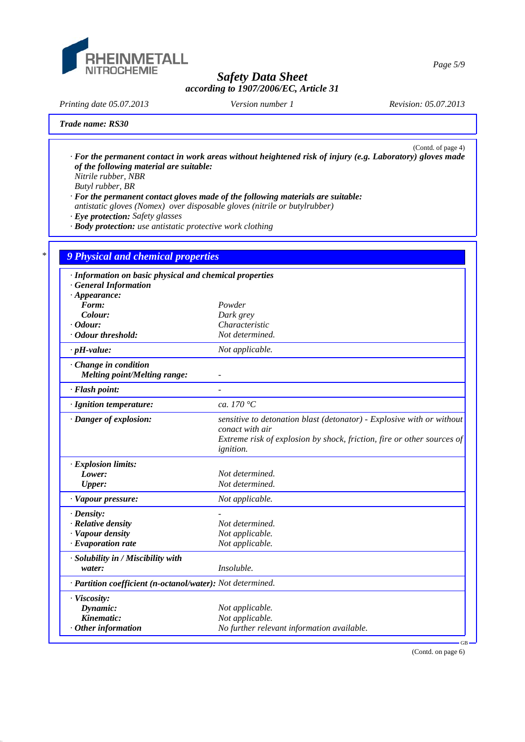

*Page 5/9*

*Printing date 05.07.2013 Revision: 05.07.2013 Version number 1*

## *Trade name: RS30*

(Contd. of page 4) *· For the permanent contact in work areas without heightened risk of injury (e.g. Laboratory) gloves made of the following material are suitable: Nitrile rubber, NBR*

*Butyl rubber, BR*

*· For the permanent contact gloves made of the following materials are suitable: antistatic gloves (Nomex) over disposable gloves (nitrile or butylrubber)*

*· Eye protection: Safety glasses*

*· Body protection: use antistatic protective work clothing*

| · Information on basic physical and chemical properties    |                                                                                                                                                                    |
|------------------------------------------------------------|--------------------------------------------------------------------------------------------------------------------------------------------------------------------|
| · General Information                                      |                                                                                                                                                                    |
| $\cdot$ Appearance:                                        |                                                                                                                                                                    |
| Form:                                                      | Powder                                                                                                                                                             |
| Colour:                                                    | Dark grey                                                                                                                                                          |
| $\cdot$ Odour:                                             | Characteristic                                                                                                                                                     |
| · Odour threshold:                                         | Not determined.                                                                                                                                                    |
| $\cdot$ pH-value:                                          | Not applicable.                                                                                                                                                    |
| Change in condition                                        |                                                                                                                                                                    |
| <b>Melting point/Melting range:</b>                        |                                                                                                                                                                    |
| · Flash point:                                             |                                                                                                                                                                    |
| · Ignition temperature:                                    | ca. 170 $\degree$ C                                                                                                                                                |
| · Danger of explosion:                                     | sensitive to detonation blast (detonator) - Explosive with or without<br>conact with air<br>Extreme risk of explosion by shock, friction, fire or other sources of |
|                                                            | <i>ignition.</i>                                                                                                                                                   |
| · Explosion limits:                                        |                                                                                                                                                                    |
| Lower:                                                     | Not determined.                                                                                                                                                    |
| <b>Upper:</b>                                              | Not determined.                                                                                                                                                    |
| · Vapour pressure:                                         | Not applicable.                                                                                                                                                    |
| $\cdot$ Density:                                           |                                                                                                                                                                    |
| · Relative density                                         | Not determined.                                                                                                                                                    |
| · Vapour density                                           | Not applicable.                                                                                                                                                    |
| $\cdot$ Evaporation rate                                   | Not applicable.                                                                                                                                                    |
| · Solubility in / Miscibility with                         |                                                                                                                                                                    |
| water:                                                     | Insoluble.                                                                                                                                                         |
| · Partition coefficient (n-octanol/water): Not determined. |                                                                                                                                                                    |
| · Viscosity:                                               |                                                                                                                                                                    |
| Dynamic:                                                   | Not applicable.                                                                                                                                                    |
| Kinematic:                                                 | Not applicable.                                                                                                                                                    |
| $·$ Other information                                      | No further relevant information available.                                                                                                                         |

(Contd. on page 6)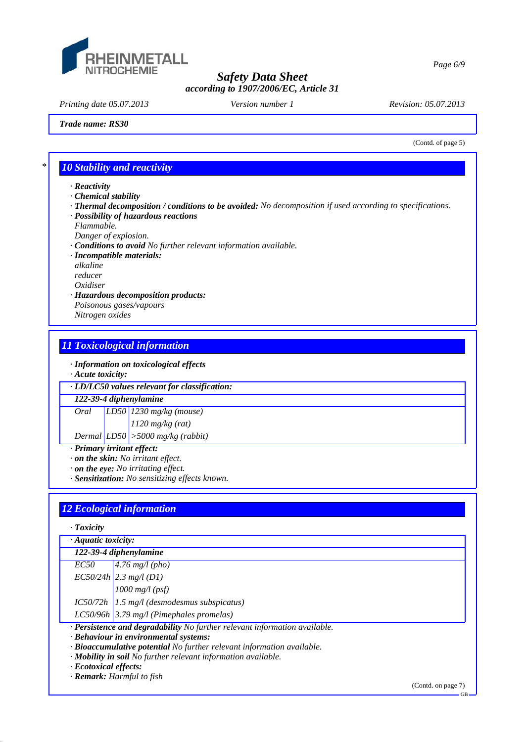

*Printing date 05.07.2013 Revision: 05.07.2013 Version number 1*

*Page 6/9*

*Trade name: RS30*

(Contd. of page 5)

# *\* 10 Stability and reactivity*

- *· Reactivity*
- *· Chemical stability*
- *· Thermal decomposition / conditions to be avoided: No decomposition if used according to specifications.*
- *· Possibility of hazardous reactions*
- *Flammable.*
- *Danger of explosion.*
- *· Conditions to avoid No further relevant information available.*
- *· Incompatible materials:*

*alkaline*

- *reducer*
- *Oxidiser*
- *· Hazardous decomposition products: Poisonous gases/vapours Nitrogen oxides*

# *11 Toxicological information*

*· Information on toxicological effects*

*· Acute toxicity:*

*· LD/LC50 values relevant for classification:*

*122-39-4 diphenylamine*

*Oral LD50 1230 mg/kg (mouse)*

*1120 mg/kg (rat)*

*Dermal LD50 >5000 mg/kg (rabbit)*

- *· Primary irritant effect:*
- *· on the skin: No irritant effect.*
- *· on the eye: No irritating effect.*
- *· Sensitization: No sensitizing effects known.*

# *12 Ecological information*

| $\cdot$ Toxicity          |                                                                            |
|---------------------------|----------------------------------------------------------------------------|
| $\cdot$ Aquatic toxicity: |                                                                            |
|                           | 122-39-4 diphenylamine                                                     |
|                           | $EC50$   4.76 mg/l (pho)                                                   |
|                           | $EC50/24h$ 2.3 mg/l (D1)                                                   |
|                           | $1000$ mg/l (psf)                                                          |
|                           | $IC50/72h$ 1.5 mg/l (desmodesmus subspicatus)                              |
|                           | LC50/96h $3.79$ mg/l (Pimephales promelas)                                 |
|                           | · Persistence and degradability No further relevant information available. |
|                           | · Behaviour in environmental systems:                                      |
|                           | · Bioaccumulative potential No further relevant information available.     |
|                           | · Mobility in soil No further relevant information available.              |
| · Ecotoxical effects:     |                                                                            |

*· Remark: Harmful to fish*

(Contd. on page 7)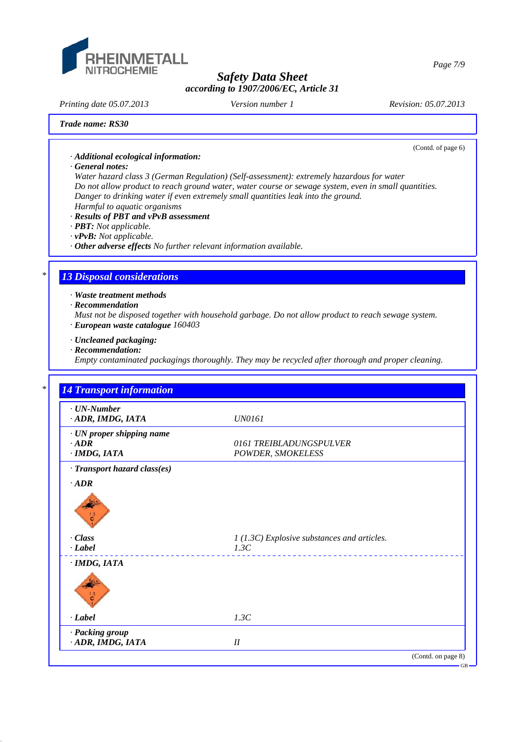

*Printing date 05.07.2013 Revision: 05.07.2013 Version number 1*

(Contd. of page 6)

#### *Trade name: RS30*

*· Additional ecological information:*

#### *· General notes:*

*Water hazard class 3 (German Regulation) (Self-assessment): extremely hazardous for water Do not allow product to reach ground water, water course or sewage system, even in small quantities. Danger to drinking water if even extremely small quantities leak into the ground. Harmful to aquatic organisms*

## *· Results of PBT and vPvB assessment*

- *· PBT: Not applicable.*
- *· vPvB: Not applicable.*
- *· Other adverse effects No further relevant information available.*

## *\* 13 Disposal considerations*

*· Waste treatment methods*

*· Recommendation*

*Must not be disposed together with household garbage. Do not allow product to reach sewage system. · European waste catalogue 160403*

- *· Uncleaned packaging:*
- *· Recommendation:*

*Empty contaminated packagings thoroughly. They may be recycled after thorough and proper cleaning.*

| $\cdot$ UN-Number               |                                             |
|---------------------------------|---------------------------------------------|
| ADR, IMDG, IATA                 | <b>UN0161</b>                               |
| · UN proper shipping name       |                                             |
| $\cdot$ <i>ADR</i>              | 0161 TREIBLADUNGSPULVER                     |
| $\cdot$ IMDG, IATA              | POWDER, SMOKELESS                           |
| · Transport hazard class(es)    |                                             |
| $\cdot$ <i>ADR</i>              |                                             |
| $\frac{13}{c}$<br>$\cdot$ Class | 1 (1.3C) Explosive substances and articles. |
| $\cdot$ <i>Label</i>            | 1.3C                                        |
| $\cdot$ IMDG, IATA              |                                             |
|                                 |                                             |
| $-Label$                        | 1.3C                                        |
| · Packing group                 |                                             |

*Page 7/9*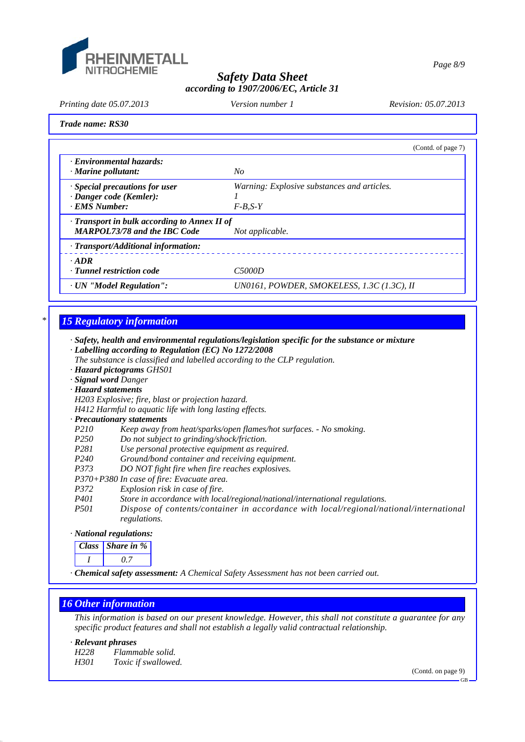

*Page 8/9*

# *Safety Data Sheet according to 1907/2006/EC, Article 31*

*Printing date 05.07.2013 Revision: 05.07.2013 Version number 1*

*Trade name: RS30*

|                                                    | (Contd. of page 7)                          |
|----------------------------------------------------|---------------------------------------------|
| · Environmental hazards:<br>· Marine pollutant:    | No                                          |
| $\cdot$ Special precautions for user               | Warning: Explosive substances and articles. |
| $\cdot$ Danger code (Kemler):                      |                                             |
| · EMS Number:                                      | $F-B.S-Y$                                   |
| $\cdot$ Transport in bulk according to Annex II of |                                             |
| <b>MARPOL73/78 and the IBC Code</b>                | Not applicable.                             |
| $\cdot$ Transport/Additional information:          |                                             |
| $\cdot$ ADR                                        |                                             |
| · Tunnel restriction code                          | C <sub>5000</sub> D                         |
| · UN "Model Regulation":                           | UN0161, POWDER, SMOKELESS, 1.3C (1.3C), II  |

# *\* 15 Regulatory information*

*· Safety, health and environmental regulations/legislation specific for the substance or mixture · Labelling according to Regulation (EC) No 1272/2008*

- *The substance is classified and labelled according to the CLP regulation.*
- *· Hazard pictograms GHS01*
- *· Signal word Danger*
- *· Hazard statements*

*H203 Explosive; fire, blast or projection hazard.*

*H412 Harmful to aquatic life with long lasting effects.*

- *· Precautionary statements Keep away from heat/sparks/open flames/hot surfaces. - No smoking.*
- *P250 Do not subject to grinding/shock/friction.*
- *P281 Use personal protective equipment as required.*
- *P240 Ground/bond container and receiving equipment.*
- *P373 DO NOT fight fire when fire reaches explosives.*
- *P370+P380 In case of fire: Evacuate area.*
- *P372 Explosion risk in case of fire.*
- *P401 Store in accordance with local/regional/national/international regulations.*
- *P501 Dispose of contents/container in accordance with local/regional/national/international regulations.*

# *· National regulations:*

| ass | Share in % |
|-----|------------|
|     |            |

*· Chemical safety assessment: A Chemical Safety Assessment has not been carried out.*

# *16 Other information*

*This information is based on our present knowledge. However, this shall not constitute a guarantee for any specific product features and shall not establish a legally valid contractual relationship.*

## *· Relevant phrases*

*H228 Flammable solid. H301 Toxic if swallowed.*

(Contd. on page 9)